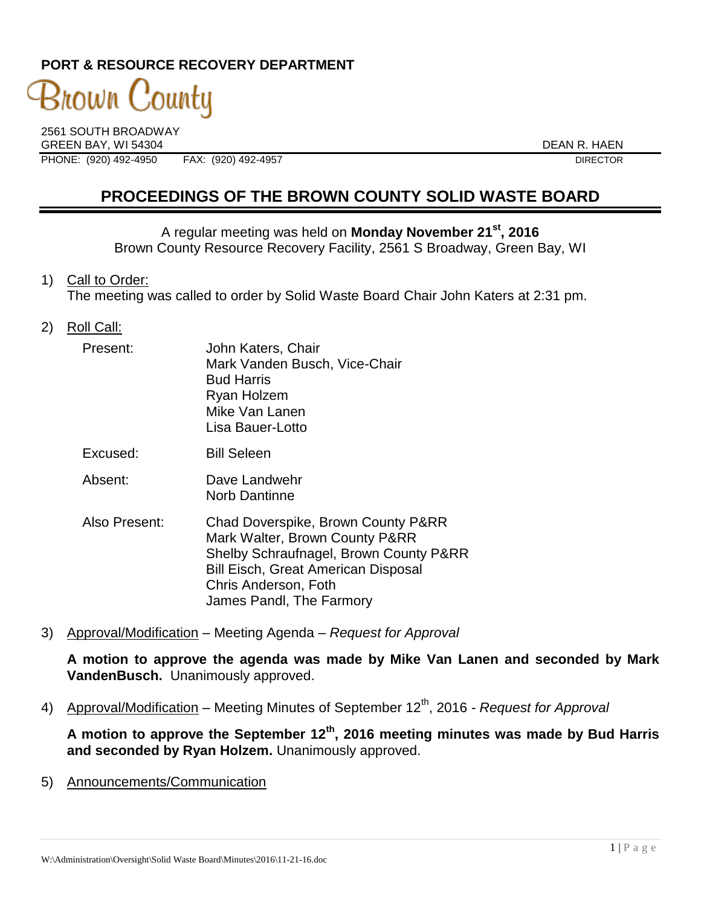# **PORT & RESOURCE RECOVERY DEPARTMENT**

# 3nown County

2561 SOUTH BROADWAY GREEN BAY, WI 54304 DEAN R. HAEN PHONE: (920) 492-4950 FAX: (920) 492-4957 DIRECTOR

# **PROCEEDINGS OF THE BROWN COUNTY SOLID WASTE BOARD**

A regular meeting was held on **Monday November 21st , 2016** Brown County Resource Recovery Facility, 2561 S Broadway, Green Bay, WI

1) Call to Order:

The meeting was called to order by Solid Waste Board Chair John Katers at 2:31 pm.

2) Roll Call:

| Present:      | John Katers, Chair<br>Mark Vanden Busch, Vice-Chair<br><b>Bud Harris</b><br>Ryan Holzem<br>Mike Van Lanen<br>Lisa Bauer-Lotto                                                                                    |
|---------------|------------------------------------------------------------------------------------------------------------------------------------------------------------------------------------------------------------------|
| Excused:      | <b>Bill Seleen</b>                                                                                                                                                                                               |
| Absent:       | Dave Landwehr<br>Norb Dantinne                                                                                                                                                                                   |
| Also Present: | Chad Doverspike, Brown County P&RR<br>Mark Walter, Brown County P&RR<br>Shelby Schraufnagel, Brown County P&RR<br><b>Bill Eisch, Great American Disposal</b><br>Chris Anderson, Foth<br>James Pandl, The Farmory |

3) Approval/Modification – Meeting Agenda – *Request for Approval*

**A motion to approve the agenda was made by Mike Van Lanen and seconded by Mark VandenBusch.** Unanimously approved.

4) Approval/Modification – Meeting Minutes of September 12<sup>th</sup>, 2016 *- Request for Approval* 

**A motion to approve the September 12th , 2016 meeting minutes was made by Bud Harris and seconded by Ryan Holzem.** Unanimously approved.

5) Announcements/Communication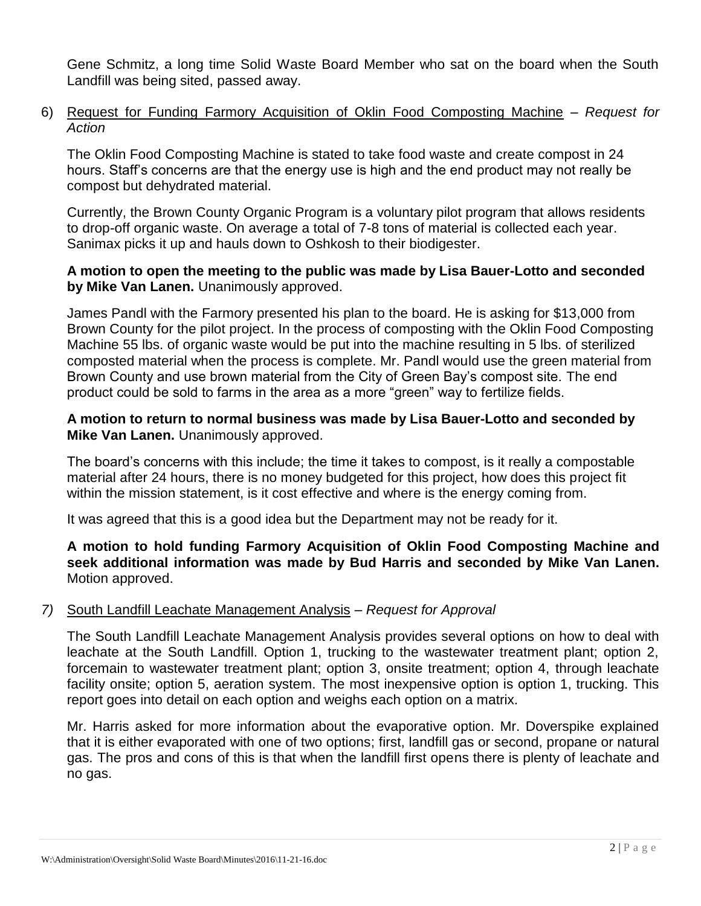Gene Schmitz, a long time Solid Waste Board Member who sat on the board when the South Landfill was being sited, passed away.

6) Request for Funding Farmory Acquisition of Oklin Food Composting Machine – *Request for Action* 

The Oklin Food Composting Machine is stated to take food waste and create compost in 24 hours. Staff's concerns are that the energy use is high and the end product may not really be compost but dehydrated material.

Currently, the Brown County Organic Program is a voluntary pilot program that allows residents to drop-off organic waste. On average a total of 7-8 tons of material is collected each year. Sanimax picks it up and hauls down to Oshkosh to their biodigester.

## **A motion to open the meeting to the public was made by Lisa Bauer-Lotto and seconded by Mike Van Lanen.** Unanimously approved.

James Pandl with the Farmory presented his plan to the board. He is asking for \$13,000 from Brown County for the pilot project. In the process of composting with the Oklin Food Composting Machine 55 lbs. of organic waste would be put into the machine resulting in 5 lbs. of sterilized composted material when the process is complete. Mr. Pandl would use the green material from Brown County and use brown material from the City of Green Bay's compost site. The end product could be sold to farms in the area as a more "green" way to fertilize fields.

## **A motion to return to normal business was made by Lisa Bauer-Lotto and seconded by Mike Van Lanen.** Unanimously approved.

The board's concerns with this include; the time it takes to compost, is it really a compostable material after 24 hours, there is no money budgeted for this project, how does this project fit within the mission statement, is it cost effective and where is the energy coming from.

It was agreed that this is a good idea but the Department may not be ready for it.

**A motion to hold funding Farmory Acquisition of Oklin Food Composting Machine and seek additional information was made by Bud Harris and seconded by Mike Van Lanen.**  Motion approved.

#### *7)* South Landfill Leachate Management Analysis – *Request for Approval*

The South Landfill Leachate Management Analysis provides several options on how to deal with leachate at the South Landfill. Option 1, trucking to the wastewater treatment plant; option 2, forcemain to wastewater treatment plant; option 3, onsite treatment; option 4, through leachate facility onsite; option 5, aeration system. The most inexpensive option is option 1, trucking. This report goes into detail on each option and weighs each option on a matrix.

Mr. Harris asked for more information about the evaporative option. Mr. Doverspike explained that it is either evaporated with one of two options; first, landfill gas or second, propane or natural gas. The pros and cons of this is that when the landfill first opens there is plenty of leachate and no gas.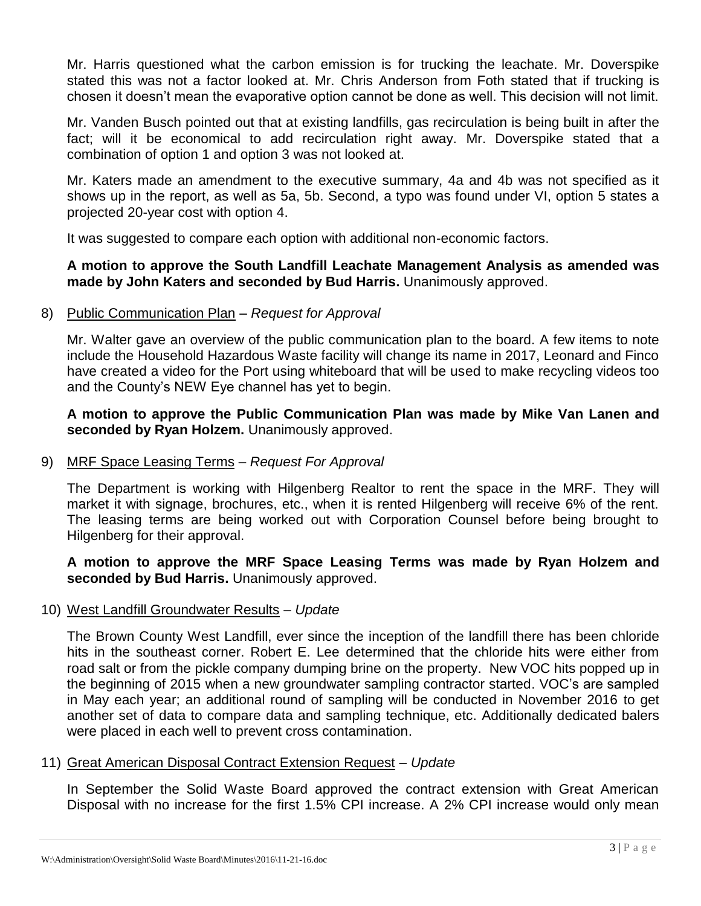Mr. Harris questioned what the carbon emission is for trucking the leachate. Mr. Doverspike stated this was not a factor looked at. Mr. Chris Anderson from Foth stated that if trucking is chosen it doesn't mean the evaporative option cannot be done as well. This decision will not limit.

Mr. Vanden Busch pointed out that at existing landfills, gas recirculation is being built in after the fact; will it be economical to add recirculation right away. Mr. Doverspike stated that a combination of option 1 and option 3 was not looked at.

Mr. Katers made an amendment to the executive summary, 4a and 4b was not specified as it shows up in the report, as well as 5a, 5b. Second, a typo was found under VI, option 5 states a projected 20-year cost with option 4.

It was suggested to compare each option with additional non-economic factors.

## **A motion to approve the South Landfill Leachate Management Analysis as amended was made by John Katers and seconded by Bud Harris.** Unanimously approved.

# 8) Public Communication Plan – *Request for Approval*

Mr. Walter gave an overview of the public communication plan to the board. A few items to note include the Household Hazardous Waste facility will change its name in 2017, Leonard and Finco have created a video for the Port using whiteboard that will be used to make recycling videos too and the County's NEW Eye channel has yet to begin.

**A motion to approve the Public Communication Plan was made by Mike Van Lanen and seconded by Ryan Holzem.** Unanimously approved.

# 9) MRF Space Leasing Terms – *Request For Approval*

The Department is working with Hilgenberg Realtor to rent the space in the MRF. They will market it with signage, brochures, etc., when it is rented Hilgenberg will receive 6% of the rent. The leasing terms are being worked out with Corporation Counsel before being brought to Hilgenberg for their approval.

**A motion to approve the MRF Space Leasing Terms was made by Ryan Holzem and seconded by Bud Harris.** Unanimously approved.

#### 10) West Landfill Groundwater Results – *Update*

The Brown County West Landfill, ever since the inception of the landfill there has been chloride hits in the southeast corner. Robert E. Lee determined that the chloride hits were either from road salt or from the pickle company dumping brine on the property. New VOC hits popped up in the beginning of 2015 when a new groundwater sampling contractor started. VOC's are sampled in May each year; an additional round of sampling will be conducted in November 2016 to get another set of data to compare data and sampling technique, etc. Additionally dedicated balers were placed in each well to prevent cross contamination.

#### 11) Great American Disposal Contract Extension Request – *Update*

In September the Solid Waste Board approved the contract extension with Great American Disposal with no increase for the first 1.5% CPI increase. A 2% CPI increase would only mean